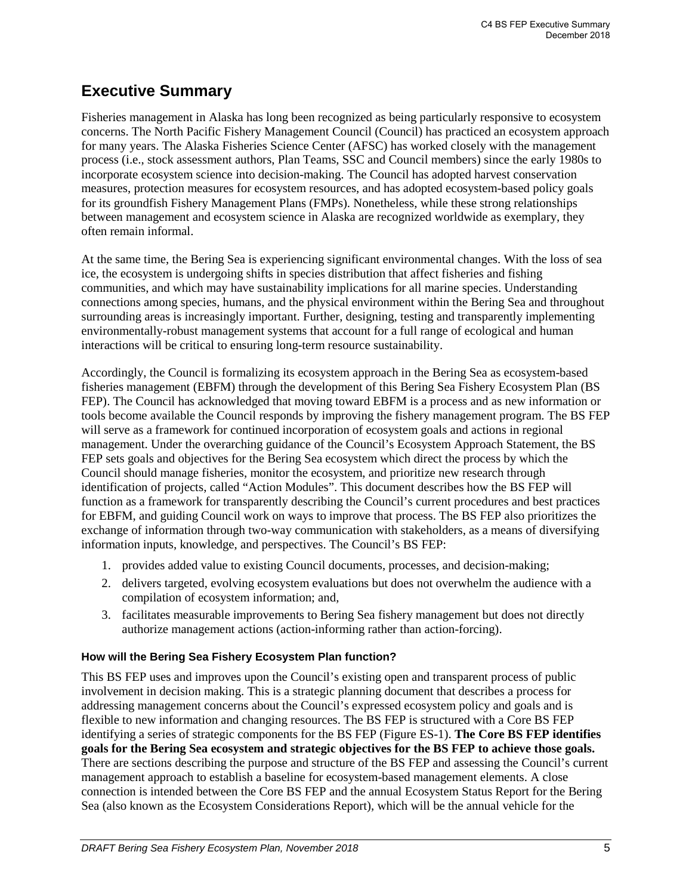# **Executive Summary**

Fisheries management in Alaska has long been recognized as being particularly responsive to ecosystem concerns. The North Pacific Fishery Management Council (Council) has practiced an ecosystem approach for many years. The Alaska Fisheries Science Center (AFSC) has worked closely with the management process (i.e., stock assessment authors, Plan Teams, SSC and Council members) since the early 1980s to incorporate ecosystem science into decision-making. The Council has adopted harvest conservation measures, protection measures for ecosystem resources, and has adopted ecosystem-based policy goals for its groundfish Fishery Management Plans (FMPs). Nonetheless, while these strong relationships between management and ecosystem science in Alaska are recognized worldwide as exemplary, they often remain informal.

At the same time, the Bering Sea is experiencing significant environmental changes. With the loss of sea ice, the ecosystem is undergoing shifts in species distribution that affect fisheries and fishing communities, and which may have sustainability implications for all marine species. Understanding connections among species, humans, and the physical environment within the Bering Sea and throughout surrounding areas is increasingly important. Further, designing, testing and transparently implementing environmentally-robust management systems that account for a full range of ecological and human interactions will be critical to ensuring long-term resource sustainability.

Accordingly, the Council is formalizing its ecosystem approach in the Bering Sea as ecosystem-based fisheries management (EBFM) through the development of this Bering Sea Fishery Ecosystem Plan (BS FEP). The Council has acknowledged that moving toward EBFM is a process and as new information or tools become available the Council responds by improving the fishery management program. The BS FEP will serve as a framework for continued incorporation of ecosystem goals and actions in regional management. Under the overarching guidance of the Council's Ecosystem Approach Statement, the BS FEP sets goals and objectives for the Bering Sea ecosystem which direct the process by which the Council should manage fisheries, monitor the ecosystem, and prioritize new research through identification of projects, called "Action Modules". This document describes how the BS FEP will function as a framework for transparently describing the Council's current procedures and best practices for EBFM, and guiding Council work on ways to improve that process. The BS FEP also prioritizes the exchange of information through two-way communication with stakeholders, as a means of diversifying information inputs, knowledge, and perspectives. The Council's BS FEP:

- 1. provides added value to existing Council documents, processes, and decision-making;
- 2. delivers targeted, evolving ecosystem evaluations but does not overwhelm the audience with a compilation of ecosystem information; and,
- 3. facilitates measurable improvements to Bering Sea fishery management but does not directly authorize management actions (action-informing rather than action-forcing).

# **How will the Bering Sea Fishery Ecosystem Plan function?**

This BS FEP uses and improves upon the Council's existing open and transparent process of public involvement in decision making. This is a strategic planning document that describes a process for addressing management concerns about the Council's expressed ecosystem policy and goals and is flexible to new information and changing resources. The BS FEP is structured with a Core BS FEP identifying a series of strategic components for the BS FEP (Figure ES-1). **The Core BS FEP identifies goals for the Bering Sea ecosystem and strategic objectives for the BS FEP to achieve those goals.**  There are sections describing the purpose and structure of the BS FEP and assessing the Council's current management approach to establish a baseline for ecosystem-based management elements. A close connection is intended between the Core BS FEP and the annual Ecosystem Status Report for the Bering Sea (also known as the Ecosystem Considerations Report), which will be the annual vehicle for the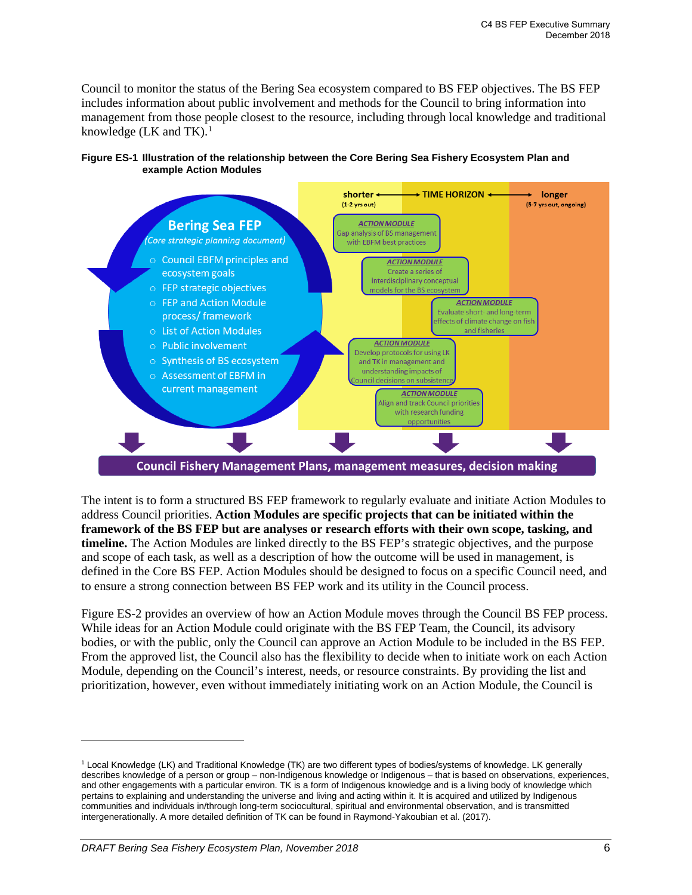Council to monitor the status of the Bering Sea ecosystem compared to BS FEP objectives. The BS FEP includes information about public involvement and methods for the Council to bring information into management from those people closest to the resource, including through local knowledge and traditional knowledge (LK and TK). $<sup>1</sup>$  $<sup>1</sup>$  $<sup>1</sup>$ </sup>





The intent is to form a structured BS FEP framework to regularly evaluate and initiate Action Modules to address Council priorities. **Action Modules are specific projects that can be initiated within the framework of the BS FEP but are analyses or research efforts with their own scope, tasking, and timeline.** The Action Modules are linked directly to the BS FEP's strategic objectives, and the purpose and scope of each task, as well as a description of how the outcome will be used in management, is defined in the Core BS FEP. Action Modules should be designed to focus on a specific Council need, and to ensure a strong connection between BS FEP work and its utility in the Council process.

Figure ES-2 provides an overview of how an Action Module moves through the Council BS FEP process. While ideas for an Action Module could originate with the BS FEP Team, the Council, its advisory bodies, or with the public, only the Council can approve an Action Module to be included in the BS FEP. From the approved list, the Council also has the flexibility to decide when to initiate work on each Action Module, depending on the Council's interest, needs, or resource constraints. By providing the list and prioritization, however, even without immediately initiating work on an Action Module, the Council is

<span id="page-1-0"></span><sup>1</sup> Local Knowledge (LK) and Traditional Knowledge (TK) are two different types of bodies/systems of knowledge. LK generally describes knowledge of a person or group – non-Indigenous knowledge or Indigenous – that is based on observations, experiences, and other engagements with a particular environ. TK is a form of Indigenous knowledge and is a living body of knowledge which pertains to explaining and understanding the universe and living and acting within it. It is acquired and utilized by Indigenous communities and individuals in/through long-term sociocultural, spiritual and environmental observation, and is transmitted intergenerationally. A more detailed definition of TK can be found in Raymond-Yakoubian et al. (2017).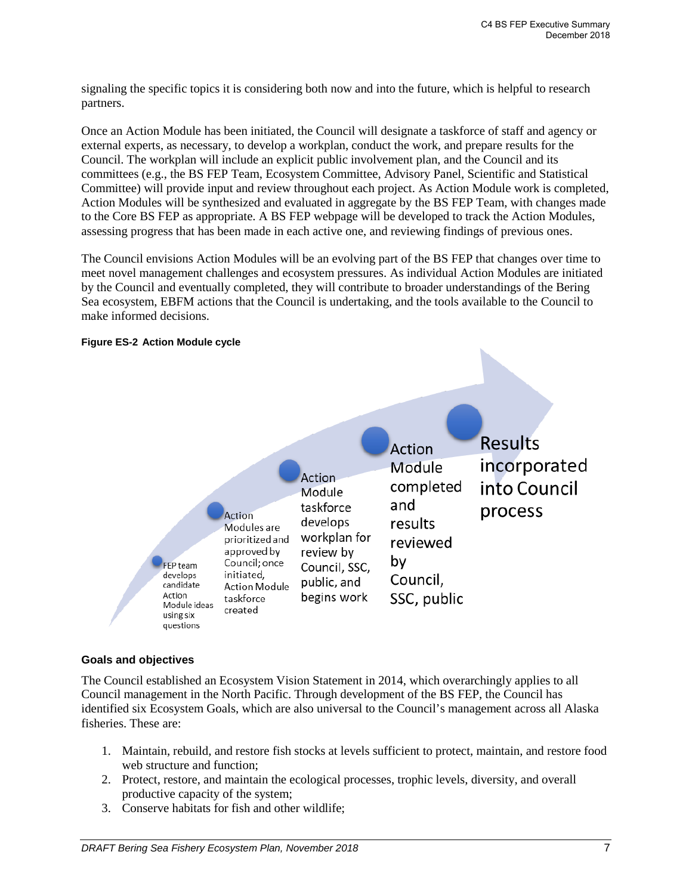signaling the specific topics it is considering both now and into the future, which is helpful to research partners.

Once an Action Module has been initiated, the Council will designate a taskforce of staff and agency or external experts, as necessary, to develop a workplan, conduct the work, and prepare results for the Council. The workplan will include an explicit public involvement plan, and the Council and its committees (e.g., the BS FEP Team, Ecosystem Committee, Advisory Panel, Scientific and Statistical Committee) will provide input and review throughout each project. As Action Module work is completed, Action Modules will be synthesized and evaluated in aggregate by the BS FEP Team, with changes made to the Core BS FEP as appropriate. A BS FEP webpage will be developed to track the Action Modules, assessing progress that has been made in each active one, and reviewing findings of previous ones.

The Council envisions Action Modules will be an evolving part of the BS FEP that changes over time to meet novel management challenges and ecosystem pressures. As individual Action Modules are initiated by the Council and eventually completed, they will contribute to broader understandings of the Bering Sea ecosystem, EBFM actions that the Council is undertaking, and the tools available to the Council to make informed decisions.



#### **Figure ES-2 Action Module cycle**

#### **Goals and objectives**

The Council established an Ecosystem Vision Statement in 2014, which overarchingly applies to all Council management in the North Pacific. Through development of the BS FEP, the Council has identified six Ecosystem Goals, which are also universal to the Council's management across all Alaska fisheries. These are:

- 1. Maintain, rebuild, and restore fish stocks at levels sufficient to protect, maintain, and restore food web structure and function;
- 2. Protect, restore, and maintain the ecological processes, trophic levels, diversity, and overall productive capacity of the system;
- 3. Conserve habitats for fish and other wildlife;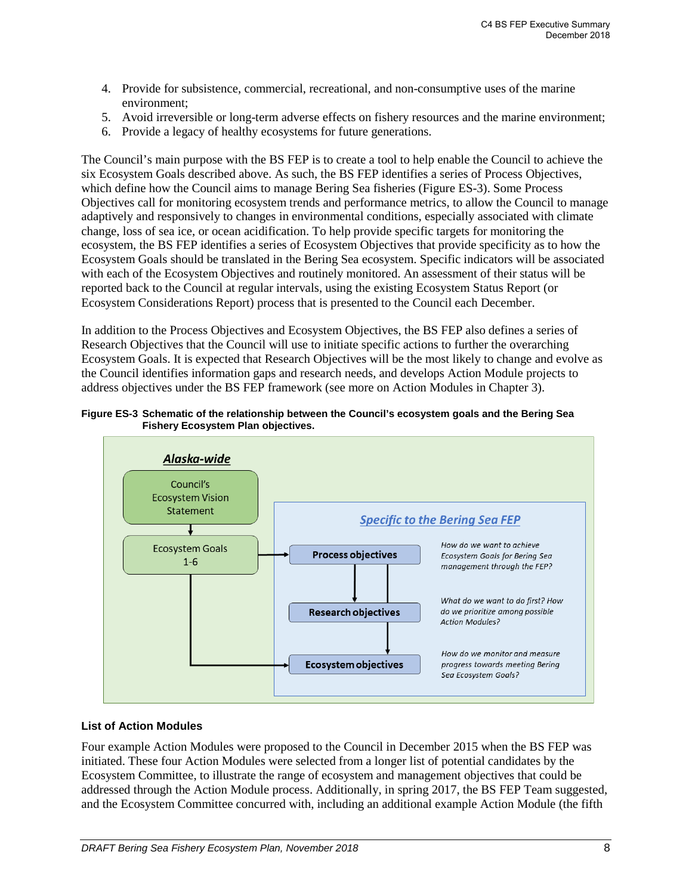- 4. Provide for subsistence, commercial, recreational, and non-consumptive uses of the marine environment;
- 5. Avoid irreversible or long-term adverse effects on fishery resources and the marine environment;
- 6. Provide a legacy of healthy ecosystems for future generations.

The Council's main purpose with the BS FEP is to create a tool to help enable the Council to achieve the six Ecosystem Goals described above. As such, the BS FEP identifies a series of Process Objectives, which define how the Council aims to manage Bering Sea fisheries (Figure ES-3). Some Process Objectives call for monitoring ecosystem trends and performance metrics, to allow the Council to manage adaptively and responsively to changes in environmental conditions, especially associated with climate change, loss of sea ice, or ocean acidification. To help provide specific targets for monitoring the ecosystem, the BS FEP identifies a series of Ecosystem Objectives that provide specificity as to how the Ecosystem Goals should be translated in the Bering Sea ecosystem. Specific indicators will be associated with each of the Ecosystem Objectives and routinely monitored. An assessment of their status will be reported back to the Council at regular intervals, using the existing Ecosystem Status Report (or Ecosystem Considerations Report) process that is presented to the Council each December.

In addition to the Process Objectives and Ecosystem Objectives, the BS FEP also defines a series of Research Objectives that the Council will use to initiate specific actions to further the overarching Ecosystem Goals. It is expected that Research Objectives will be the most likely to change and evolve as the Council identifies information gaps and research needs, and develops Action Module projects to address objectives under the BS FEP framework (see more on Action Modules in Chapter 3).





## **List of Action Modules**

Four example Action Modules were proposed to the Council in December 2015 when the BS FEP was initiated. These four Action Modules were selected from a longer list of potential candidates by the Ecosystem Committee, to illustrate the range of ecosystem and management objectives that could be addressed through the Action Module process. Additionally, in spring 2017, the BS FEP Team suggested, and the Ecosystem Committee concurred with, including an additional example Action Module (the fifth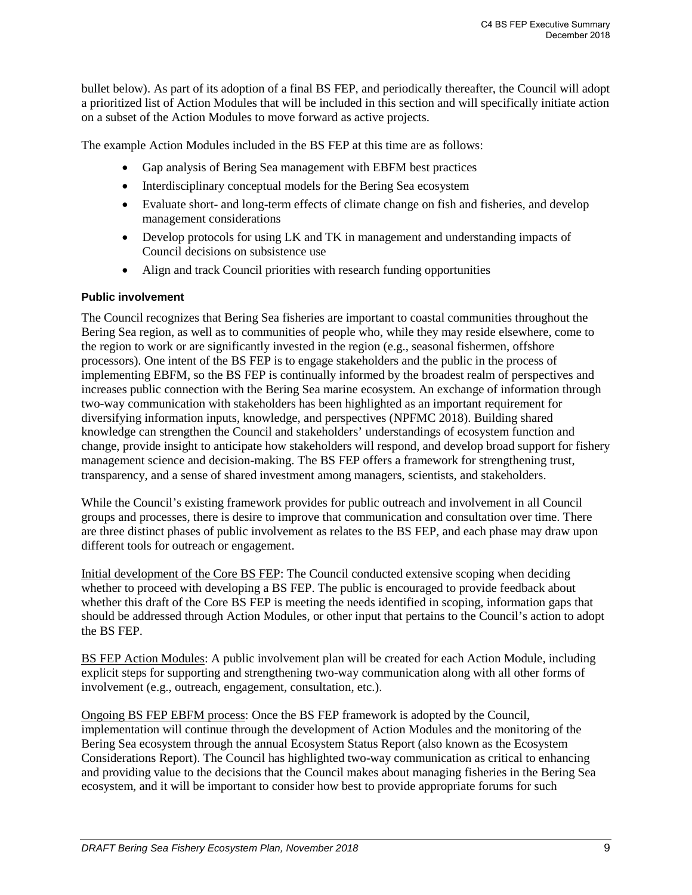bullet below). As part of its adoption of a final BS FEP, and periodically thereafter, the Council will adopt a prioritized list of Action Modules that will be included in this section and will specifically initiate action on a subset of the Action Modules to move forward as active projects.

The example Action Modules included in the BS FEP at this time are as follows:

- Gap analysis of Bering Sea management with EBFM best practices
- Interdisciplinary conceptual models for the Bering Sea ecosystem
- Evaluate short- and long-term effects of climate change on fish and fisheries, and develop management considerations
- Develop protocols for using LK and TK in management and understanding impacts of Council decisions on subsistence use
- Align and track Council priorities with research funding opportunities

## **Public involvement**

The Council recognizes that Bering Sea fisheries are important to coastal communities throughout the Bering Sea region, as well as to communities of people who, while they may reside elsewhere, come to the region to work or are significantly invested in the region (e.g., seasonal fishermen, offshore processors). One intent of the BS FEP is to engage stakeholders and the public in the process of implementing EBFM, so the BS FEP is continually informed by the broadest realm of perspectives and increases public connection with the Bering Sea marine ecosystem. An exchange of information through two-way communication with stakeholders has been highlighted as an important requirement for diversifying information inputs, knowledge, and perspectives (NPFMC 2018). Building shared knowledge can strengthen the Council and stakeholders' understandings of ecosystem function and change, provide insight to anticipate how stakeholders will respond, and develop broad support for fishery management science and decision-making. The BS FEP offers a framework for strengthening trust, transparency, and a sense of shared investment among managers, scientists, and stakeholders.

While the Council's existing framework provides for public outreach and involvement in all Council groups and processes, there is desire to improve that communication and consultation over time. There are three distinct phases of public involvement as relates to the BS FEP, and each phase may draw upon different tools for outreach or engagement.

Initial development of the Core BS FEP: The Council conducted extensive scoping when deciding whether to proceed with developing a BS FEP. The public is encouraged to provide feedback about whether this draft of the Core BS FEP is meeting the needs identified in scoping, information gaps that should be addressed through Action Modules, or other input that pertains to the Council's action to adopt the BS FEP.

BS FEP Action Modules: A public involvement plan will be created for each Action Module, including explicit steps for supporting and strengthening two-way communication along with all other forms of involvement (e.g., outreach, engagement, consultation, etc.).

Ongoing BS FEP EBFM process: Once the BS FEP framework is adopted by the Council, implementation will continue through the development of Action Modules and the monitoring of the Bering Sea ecosystem through the annual Ecosystem Status Report (also known as the Ecosystem Considerations Report). The Council has highlighted two-way communication as critical to enhancing and providing value to the decisions that the Council makes about managing fisheries in the Bering Sea ecosystem, and it will be important to consider how best to provide appropriate forums for such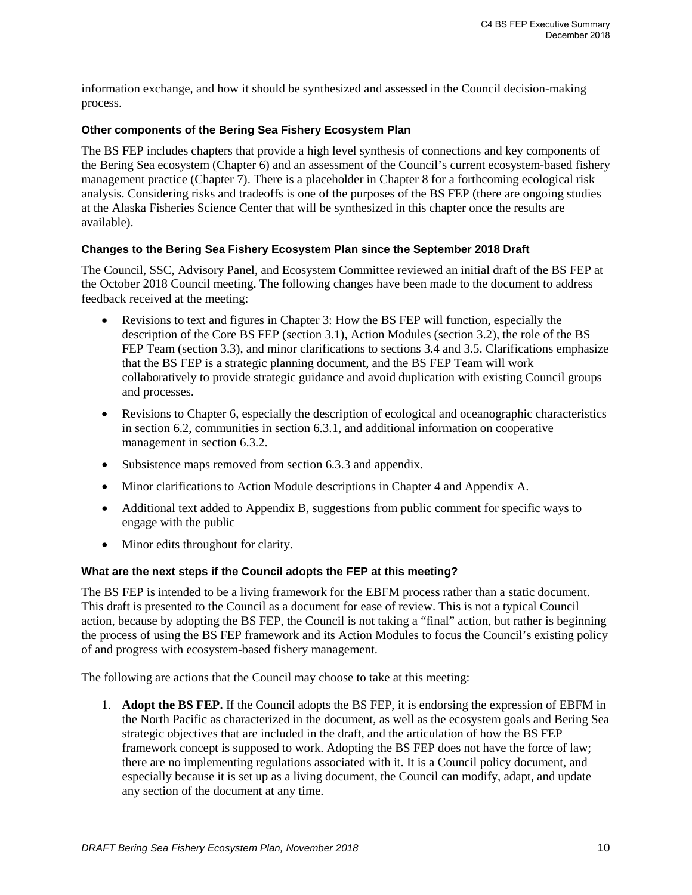information exchange, and how it should be synthesized and assessed in the Council decision-making process.

#### **Other components of the Bering Sea Fishery Ecosystem Plan**

The BS FEP includes chapters that provide a high level synthesis of connections and key components of the Bering Sea ecosystem (Chapter 6) and an assessment of the Council's current ecosystem-based fishery management practice (Chapter 7). There is a placeholder in Chapter 8 for a forthcoming ecological risk analysis. Considering risks and tradeoffs is one of the purposes of the BS FEP (there are ongoing studies at the Alaska Fisheries Science Center that will be synthesized in this chapter once the results are available).

#### **Changes to the Bering Sea Fishery Ecosystem Plan since the September 2018 Draft**

The Council, SSC, Advisory Panel, and Ecosystem Committee reviewed an initial draft of the BS FEP at the October 2018 Council meeting. The following changes have been made to the document to address feedback received at the meeting:

- Revisions to text and figures in Chapter 3: How the BS FEP will function, especially the description of the Core BS FEP (section 3.1), Action Modules (section 3.2), the role of the BS FEP Team (section 3.3), and minor clarifications to sections 3.4 and 3.5. Clarifications emphasize that the BS FEP is a strategic planning document, and the BS FEP Team will work collaboratively to provide strategic guidance and avoid duplication with existing Council groups and processes.
- Revisions to Chapter 6, especially the description of ecological and oceanographic characteristics in section 6.2, communities in section 6.3.1, and additional information on cooperative management in section 6.3.2.
- Subsistence maps removed from section 6.3.3 and appendix.
- Minor clarifications to Action Module descriptions in Chapter 4 and Appendix A.
- Additional text added to Appendix B, suggestions from public comment for specific ways to engage with the public
- Minor edits throughout for clarity.

## **What are the next steps if the Council adopts the FEP at this meeting?**

The BS FEP is intended to be a living framework for the EBFM process rather than a static document. This draft is presented to the Council as a document for ease of review. This is not a typical Council action, because by adopting the BS FEP, the Council is not taking a "final" action, but rather is beginning the process of using the BS FEP framework and its Action Modules to focus the Council's existing policy of and progress with ecosystem-based fishery management.

The following are actions that the Council may choose to take at this meeting:

1. **Adopt the BS FEP.** If the Council adopts the BS FEP, it is endorsing the expression of EBFM in the North Pacific as characterized in the document, as well as the ecosystem goals and Bering Sea strategic objectives that are included in the draft, and the articulation of how the BS FEP framework concept is supposed to work. Adopting the BS FEP does not have the force of law; there are no implementing regulations associated with it. It is a Council policy document, and especially because it is set up as a living document, the Council can modify, adapt, and update any section of the document at any time.